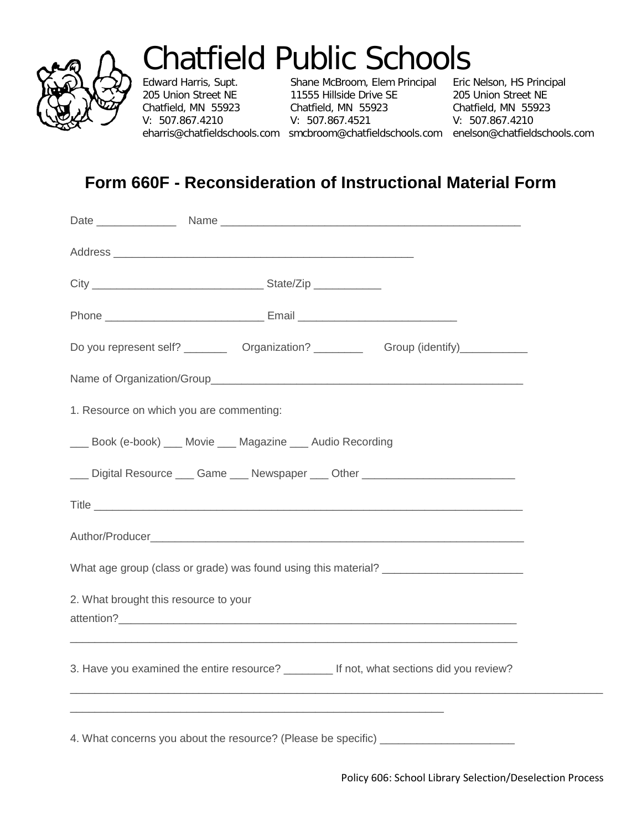

## Chatfield Public Schools<br>Edward Harris, Supt. Shane McBroom, Elem Principal Eric Nelson, HS Principal

V: 507.867.4210

Edward Harris, Supt. Shane McBroom, Elem Principal (Edward Harris, Supt. Shane McBroom, Elem Principal 205 Union Street NE 11555 Hillside Drive SE 205 Union Street NE Chatfield, MN 55923 Chatfield, MN 55923 Chatfield, MN 55923<br>V: 507.867.4210 V: 507.867.4521 V: 507.867.4210

eharris@chatfieldschools.com smcbroom@chatfieldschools.com enelson@chatfieldschools.com

## **Form 660F - Reconsideration of Instructional Material Form**

| Do you represent self? ___________ Organization? _____________ Group (identify)_____________ |
|----------------------------------------------------------------------------------------------|
|                                                                                              |
| 1. Resource on which you are commenting:                                                     |
| ___ Book (e-book) ___ Movie ___ Magazine ___ Audio Recording                                 |
|                                                                                              |
|                                                                                              |
|                                                                                              |
| What age group (class or grade) was found using this material? __________________            |
| 2. What brought this resource to your                                                        |
| 3. Have you examined the entire resource? _______ If not, what sections did you review?      |
|                                                                                              |
| 4. What concerns you about the resource? (Please be specific) __________________             |